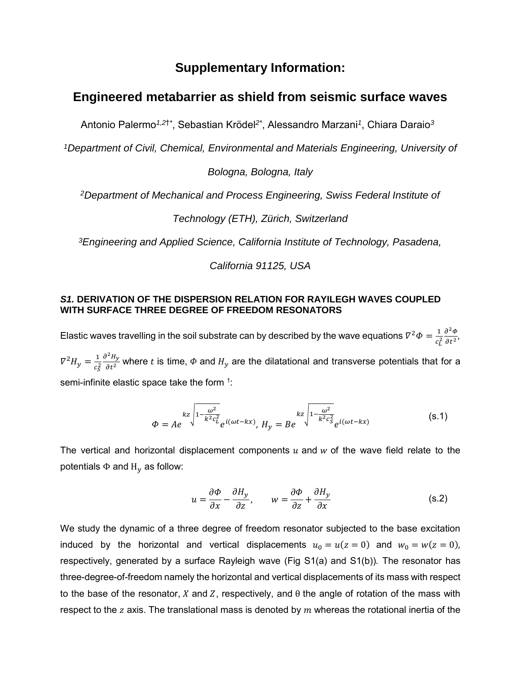# **Supplementary Information:**

# **Engineered metabarrier as shield from seismic surface waves**

Antonio Palermo*1,2*†*\** , Sebastian Krödel*2\**, Alessandro Marzani*<sup>1</sup>* , Chiara Daraio*<sup>3</sup>*

*<sup>1</sup>Department of Civil, Chemical, Environmental and Materials Engineering, University of* 

*Bologna, Bologna, Italy*

*<sup>2</sup>Department of Mechanical and Process Engineering, Swiss Federal Institute of* 

*Technology (ETH), Zürich, Switzerland*

*<sup>3</sup>Engineering and Applied Science, California Institute of Technology, Pasadena,* 

*California 91125, USA*

### *S1.* **DERIVATION OF THE DISPERSION RELATION FOR RAYILEGH WAVES COUPLED WITH SURFACE THREE DEGREE OF FREEDOM RESONATORS**

Elastic waves travelling in the soil substrate can by described by the wave equations  $\nabla^2 \Phi = \frac{1}{\sigma^2}$  $c_L^2$  $\partial^2 \Phi$  $\frac{\partial \Psi}{\partial t^2}$  $\nabla^2 H_y = \frac{1}{c^2}$  $c_S^2$  $\partial^2 H_y$  $\frac{H y}{\partial t^2}$  where t is time,  $\phi$  and  $H_y$  are the dilatational and transverse potentials that for a semi-infinite elastic space take the form  $1$ :

$$
\Phi = Ae^{\kappa z \sqrt{1 - \frac{\omega^2}{k^2 c_L^2}}} e^{i(\omega t - kx)}, H_y = Be^{\kappa z \sqrt{1 - \frac{\omega^2}{k^2 c_S^2}}} e^{i(\omega t - kx)}
$$
(s.1)

The vertical and horizontal displacement components  $u$  and  $w$  of the wave field relate to the potentials  $\Phi$  and  $H_v$  as follow:

$$
u = \frac{\partial \Phi}{\partial x} - \frac{\partial H_y}{\partial z}, \qquad w = \frac{\partial \Phi}{\partial z} + \frac{\partial H_y}{\partial x}
$$
 (s.2)

We study the dynamic of a three degree of freedom resonator subjected to the base excitation induced by the horizontal and vertical displacements  $u_0 = u(z = 0)$  and  $w_0 = w(z = 0)$ , respectively, generated by a surface Rayleigh wave (Fig S1(a) and S1(b))*.* The resonator has three-degree-of-freedom namely the horizontal and vertical displacements of its mass with respect to the base of the resonator, X and Z, respectively, and  $\theta$  the angle of rotation of the mass with respect to the  $z$  axis. The translational mass is denoted by  $m$  whereas the rotational inertia of the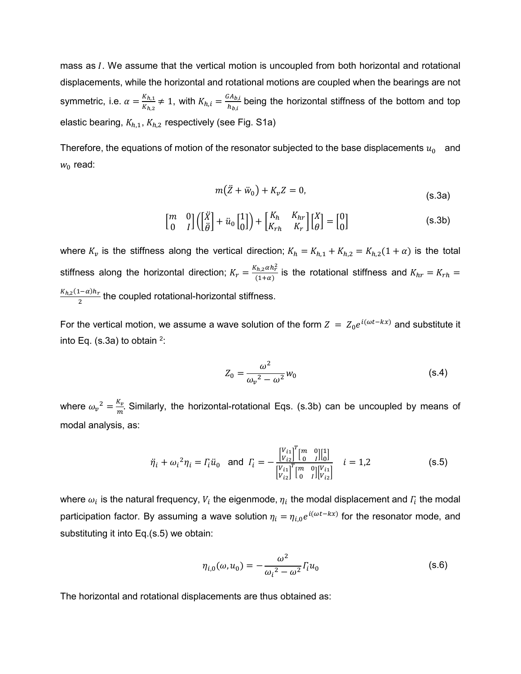mass as  $I$ . We assume that the vertical motion is uncoupled from both horizontal and rotational displacements, while the horizontal and rotational motions are coupled when the bearings are not symmetric, i.e.  $\alpha = \frac{K_{h,1}}{K_h}$  $\frac{K_{h,1}}{K_{h,2}} \neq 1$ , with  $K_{h,i} = \frac{GA_{b,i}}{h_{b,i}}$  $\frac{H_{D,l}}{h_{b,i}}$  being the horizontal stiffness of the bottom and top elastic bearing,  $K_{h,1}$ ,  $K_{h,2}$  respectively (see Fig. S1a)

Therefore, the equations of motion of the resonator subjected to the base displacements  $u_0$  and  $w_0$  read:

$$
m(\ddot{Z} + \ddot{w}_0) + K_v Z = 0,
$$
\n(s.3a)

$$
\begin{bmatrix} m & 0 \\ 0 & I \end{bmatrix} \begin{bmatrix} \begin{bmatrix} \ddot{X} \\ \ddot{\theta} \end{bmatrix} + \ddot{u}_0 \begin{bmatrix} 1 \\ 0 \end{bmatrix} \end{bmatrix} + \begin{bmatrix} K_h & K_{hr} \\ K_{rh} & K_r \end{bmatrix} \begin{bmatrix} X \\ \theta \end{bmatrix} = \begin{bmatrix} 0 \\ 0 \end{bmatrix}
$$
 (s.3b)

where  $K_v$  is the stiffness along the vertical direction;  $K_h = K_{h,1} + K_{h,2} = K_{h,2}(1 + \alpha)$  is the total stiffness along the horizontal direction;  $K_r = \frac{K_{h,2}\alpha h_r^2}{(1+\alpha)}$  $\frac{d_{h2}u_{n}}{d_{1}+a_{2}}$  is the rotational stiffness and  $K_{hr}=K_{rh}=0$  $K_{h,2}(1-\alpha)h_r$  $\frac{1}{2}$  the coupled rotational-horizontal stiffness.

For the vertical motion, we assume a wave solution of the form  $Z = Z_0 e^{i(\omega t - kx)}$  and substitute it into Eq. (s.3a) to obtain  $2$ :

$$
Z_0 = \frac{\omega^2}{\omega_v^2 - \omega^2} w_0 \tag{s.4}
$$

where  $\omega_v^2 = \frac{K_v}{m}$  $\frac{Nv}{m}$ . Similarly, the horizontal-rotational Eqs. (s.3b) can be uncoupled by means of modal analysis, as:

$$
\ddot{\eta}_i + \omega_i^2 \eta_i = \Gamma_i \ddot{u}_0 \text{ and } \Gamma_i = -\frac{\begin{bmatrix} V_{i1} \\ V_{i2} \end{bmatrix}^T \begin{bmatrix} m & 0 \\ 0 & I \end{bmatrix}^T \begin{bmatrix} 1 \\ 0 \end{bmatrix}}{\begin{bmatrix} V_{i1} \\ V_{i2} \end{bmatrix}^T \begin{bmatrix} m & 0 \\ 0 & I \end{bmatrix}^T \begin{bmatrix} V_{i1} \\ V_{i2} \end{bmatrix}} \quad i = 1,2
$$
 (s.5)

where  $\omega_i$  is the natural frequency,  $V_i$  the eigenmode,  $\eta_i$  the modal displacement and  $\varGamma_i$  the modal participation factor. By assuming a wave solution  $\eta_i = \eta_{i,0} e^{i(\omega t - kx)}$  for the resonator mode, and substituting it into Eq.(s.5) we obtain:

$$
\eta_{i,0}(\omega, u_0) = -\frac{\omega^2}{\omega_i^2 - \omega^2} I_i u_0
$$
\n(s.6)

The horizontal and rotational displacements are thus obtained as: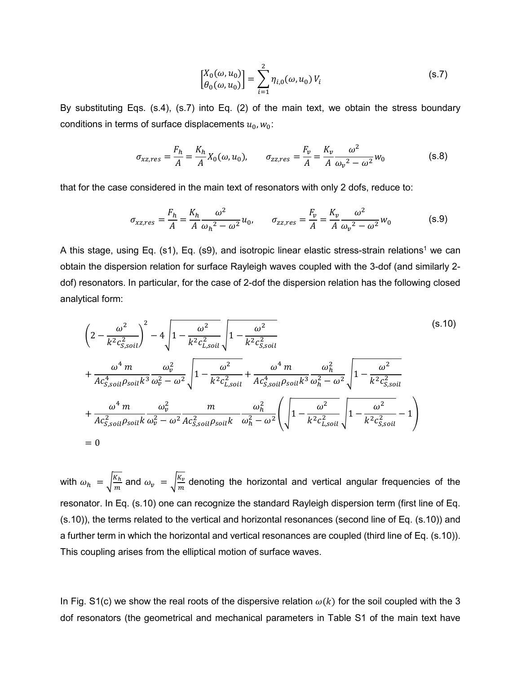$$
\begin{bmatrix} X_0(\omega, u_0) \\ \theta_0(\omega, u_0) \end{bmatrix} = \sum_{i=1}^2 \eta_{i,0}(\omega, u_0) V_i
$$
 (s.7)

By substituting Eqs. (s.4), (s.7) into Eq. (2) of the main text, we obtain the stress boundary conditions in terms of surface displacements  $u_0, w_0$ :

$$
\sigma_{xz,res} = \frac{F_h}{A} = \frac{K_h}{A} X_0(\omega, u_0), \qquad \sigma_{zz,res} = \frac{F_v}{A} = \frac{K_v}{A} \frac{\omega^2}{\omega_v^2 - \omega^2} w_0
$$
(s.8)

that for the case considered in the main text of resonators with only 2 dofs, reduce to:

$$
\sigma_{xz,res} = \frac{F_h}{A} = \frac{K_h}{A} \frac{\omega^2}{\omega_h^2 - \omega^2} u_0, \qquad \sigma_{zz,res} = \frac{F_v}{A} = \frac{K_v}{A} \frac{\omega^2}{\omega_v^2 - \omega^2} w_0
$$
(s.9)

A this stage, using Eq. (s1), Eq. (s9), and isotropic linear elastic stress-strain relations<sup>1</sup> we can obtain the dispersion relation for surface Rayleigh waves coupled with the 3-dof (and similarly 2 dof) resonators. In particular, for the case of 2-dof the dispersion relation has the following closed analytical form:

$$
\left(2 - \frac{\omega^2}{k^2 c_{s,soil}^2}\right)^2 - 4\sqrt{1 - \frac{\omega^2}{k^2 c_{L,soil}^2}}\sqrt{1 - \frac{\omega^2}{k^2 c_{s,soil}^2}}
$$
\n
$$
+ \frac{\omega^4 m}{Ac_{s,soil}^4 \rho_{soil} k^3} \frac{\omega_v^2}{\omega_v^2 - \omega^2} \sqrt{1 - \frac{\omega^2}{k^2 c_{L,soil}^2}} + \frac{\omega^4 m}{Ac_{s,soil}^4 \rho_{soil} k^3} \frac{\omega_h^2}{\omega_h^2 - \omega^2} \sqrt{1 - \frac{\omega^2}{k^2 c_{s,soil}^2}}
$$
\n
$$
+ \frac{\omega^4 m}{Ac_{s,soil}^2 \rho_{soil} k} \frac{\omega_v^2}{\omega_v^2 - \omega^2} \frac{m}{Ac_{s,soil}^2 \rho_{soil} k} \frac{\omega_h^2}{\omega_h^2 - \omega^2} \left(\sqrt{1 - \frac{\omega^2}{k^2 c_{L,soil}^2}} \sqrt{1 - \frac{\omega^2}{k^2 c_{s,soil}^2}} - 1\right)
$$
\n
$$
= 0
$$
\n(8.10)

with  $\omega_h = \sqrt{\frac{K_h}{m}}$  $\frac{K_h}{m}$  and  $\omega_\nu$  =  $\sqrt{\frac{K_\nu}{m}}$  $\frac{\Delta v}{m}$  denoting the horizontal and vertical angular frequencies of the resonator. In Eq. (s.10) one can recognize the standard Rayleigh dispersion term (first line of Eq. (s.10)), the terms related to the vertical and horizontal resonances (second line of Eq. (s.10)) and a further term in which the horizontal and vertical resonances are coupled (third line of Eq. (s.10)). This coupling arises from the elliptical motion of surface waves.

In Fig. S1(c) we show the real roots of the dispersive relation  $\omega(k)$  for the soil coupled with the 3 dof resonators (the geometrical and mechanical parameters in Table S1 of the main text have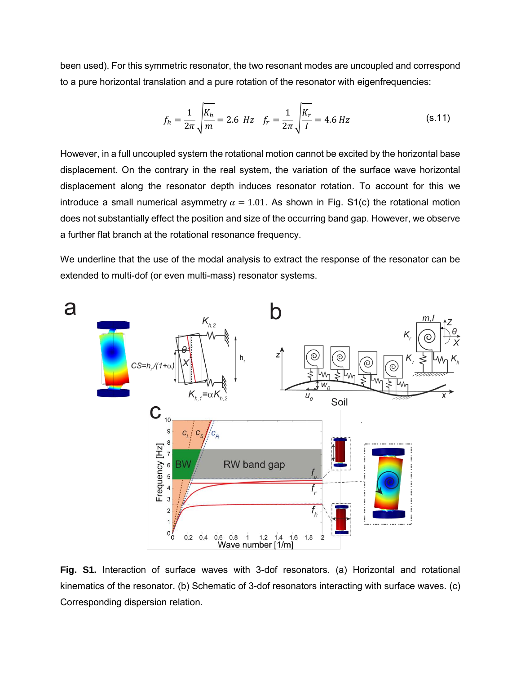been used). For this symmetric resonator, the two resonant modes are uncoupled and correspond to a pure horizontal translation and a pure rotation of the resonator with eigenfrequencies:

$$
f_h = \frac{1}{2\pi} \sqrt{\frac{K_h}{m}} = 2.6 \text{ Hz} \quad f_r = \frac{1}{2\pi} \sqrt{\frac{K_r}{I}} = 4.6 \text{ Hz}
$$
 (s.11)

However, in a full uncoupled system the rotational motion cannot be excited by the horizontal base displacement. On the contrary in the real system, the variation of the surface wave horizontal displacement along the resonator depth induces resonator rotation. To account for this we introduce a small numerical asymmetry  $\alpha = 1.01$ . As shown in Fig. S1(c) the rotational motion does not substantially effect the position and size of the occurring band gap. However, we observe a further flat branch at the rotational resonance frequency.

We underline that the use of the modal analysis to extract the response of the resonator can be extended to multi-dof (or even multi-mass) resonator systems.



**Fig. S1.** Interaction of surface waves with 3-dof resonators. (a) Horizontal and rotational kinematics of the resonator. (b) Schematic of 3-dof resonators interacting with surface waves. (c) Corresponding dispersion relation.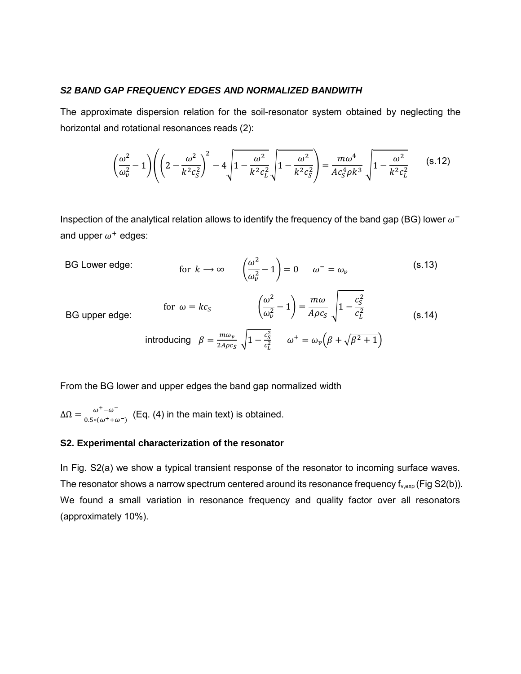#### *S2 BAND GAP FREQUENCY EDGES AND NORMALIZED BANDWITH*

The approximate dispersion relation for the soil-resonator system obtained by neglecting the horizontal and rotational resonances reads (2):

$$
\left(\frac{\omega^2}{\omega_v^2} - 1\right) \left( \left(2 - \frac{\omega^2}{k^2 c_s^2}\right)^2 - 4\sqrt{1 - \frac{\omega^2}{k^2 c_L^2}} \sqrt{1 - \frac{\omega^2}{k^2 c_s^2}} \right) = \frac{m\omega^4}{Ac_s^4 \rho k^3} \sqrt{1 - \frac{\omega^2}{k^2 c_L^2}}
$$
(s.12)

Inspection of the analytical relation allows to identify the frequency of the band gap (BG) lower  $\omega^$ and upper  $\omega^+$  edges:

BG Lower edge: 
$$
\qquad \text{for } k \to \infty \qquad \left(\frac{\omega^2}{\omega_v^2} - 1\right) = 0 \qquad \omega^- = \omega_v \qquad \qquad \text{(s.13)}
$$

BG upper edge:

for 
$$
\omega = kc_S
$$
  $\left(\frac{\omega^2}{\omega_v^2} - 1\right) = \frac{m\omega}{A\rho c_S} \sqrt{1 - \frac{c_S^2}{c_L^2}}$  (s.14)  
introducing  $\beta = \frac{m\omega_v}{2A\rho c_S} \sqrt{1 - \frac{c_S^2}{c_L^2}}$   $\omega^+ = \omega_v \left(\beta + \sqrt{\beta^2 + 1}\right)$ 

From the BG lower and upper edges the band gap normalized width

 $\Delta\Omega = \frac{\omega^+ - \omega^-}{2.5 \times 10^{-4} \text{ kg}}$  $\frac{\omega}{0.5*(\omega^++\omega^-)}$  (Eq. (4) in the main text) is obtained.

## **S2. Experimental characterization of the resonator**

In Fig. S2(a) we show a typical transient response of the resonator to incoming surface waves. The resonator shows a narrow spectrum centered around its resonance frequency  $f_{v,exp}$  (Fig S2(b)). We found a small variation in resonance frequency and quality factor over all resonators (approximately 10%).